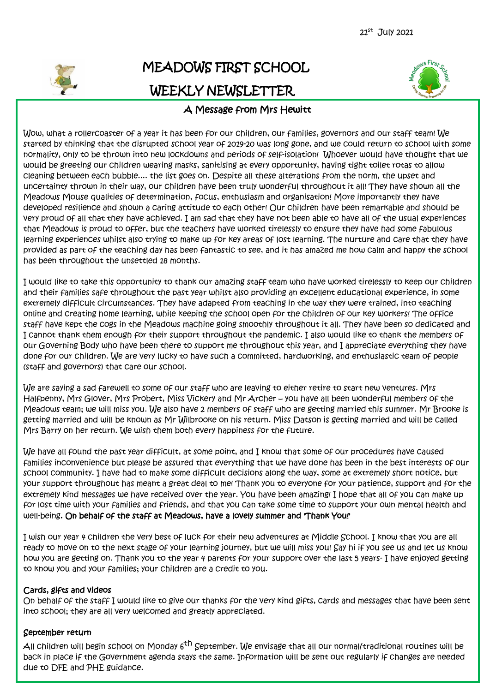

# MEADOWS FIRST SCHOOL WEEKLY NEWSLETTER



### A Message from Mrs Hewitt

Wow, what a rollercoaster of a year it has been for our children, our families, governors and our staff team! We started by thinking that the disrupted school year of 2019-20 was long gone, and we could return to school with some normality, only to be thrown into new lockdowns and periods of self-isolation! Whoever would have thought that we would be greeting our children wearing masks, sanitising at every opportunity, having tight toilet rotas to allow cleaning between each bubble.... the list goes on. Despite all these alterations from the norm, the upset and uncertainty thrown in their way, our children have been truly wonderful throughout it all! They have shown all the Meadows Mouse qualities of determination, focus, enthusiasm and organisation! More importantly they have developed resilience and shown a caring attitude to each other! Our children have been remarkable and should be very proud of all that they have achieved. I am sad that they have not been able to have all of the usual experiences that Meadows is proud to offer, but the teachers have worked tirelessly to ensure they have had some fabulous learning experiences whilst also trying to make up for key areas of lost learning. The nurture and care that they have provided as part of the teaching day has been fantastic to see, and it has amazed me how calm and happy the school has been throughout the unsettled 18 months.

I would like to take this opportunity to thank our amazing staff team who have worked tirelessly to keep our children and their families safe throughout the past year whilst also providing an excellent educational experience, in some extremely difficult circumstances. They have adapted from teaching in the way they were trained, into teaching online and creating home learning, while keeping the school open for the children of our key workers! The office staff have kept the cogs in the Meadows machine going smoothly throughout it all. They have been so dedicated and I cannot thank them enough for their support throughout the pandemic. I also would like to thank the members of our Governing Body who have been there to support me throughout this year, and I appreciate everything they have done for our children. We are very lucky to have such a committed, hardworking, and enthusiastic team of people (staff and governors) that care our school.

We are saying a sad farewell to some of our staff who are leaving to either retire to start new ventures. Mrs Halfpenny, Mrs Glover, Mrs Probert, Miss Vickery and Mr Archer – you have all been wonderful members of the Meadows team; we will miss you. We also have 2 members of staff who are getting married this summer. Mr Brooke is getting married and will be known as Mr Wilbrooke on his return. Miss Datson is getting married and will be called Mrs Barry on her return. We wish them both every happiness for the future.

We have all found the past year difficult, at some point, and I know that some of our procedures have caused families inconvenience but please be assured that everything that we have done has been in the best interests of our school community. I have had to make some difficult decisions along the way, some at extremely short notice, but your support throughout has meant a great deal to me! Thank you to everyone for your patience, support and for the extremely kind messages we have received over the year. You have been amazing! I hope that all of you can make up for lost time with your families and friends, and that you can take some time to support your own mental health and well-being. On behalf of the staff at Meadows, have a lovely summer and 'Thank You!'

I wish our year 4 children the very best of luck for their new adventures at Middle School. I know that you are all ready to move on to the next stage of your learning journey, but we will miss you! Say hi if you see us and let us know how you are getting on. Thank you to the year 4 parents for your support over the last 5 years- I have enjoyed getting to know you and your families; your children are a credit to you.

#### Cards, gifts and videos

On behalf of the staff I would like to give our thanks for the very kind gifts, cards and messages that have been sent into school; they are all very welcomed and greatly appreciated.

#### September return

All children will begin school on Monday 6<sup>th</sup> September. We envisage that all our normal/traditional routines will be back in place if the Government agenda stays the same. Information will be sent out regularly if changes are needed due to DFE and PHE guidance.

j